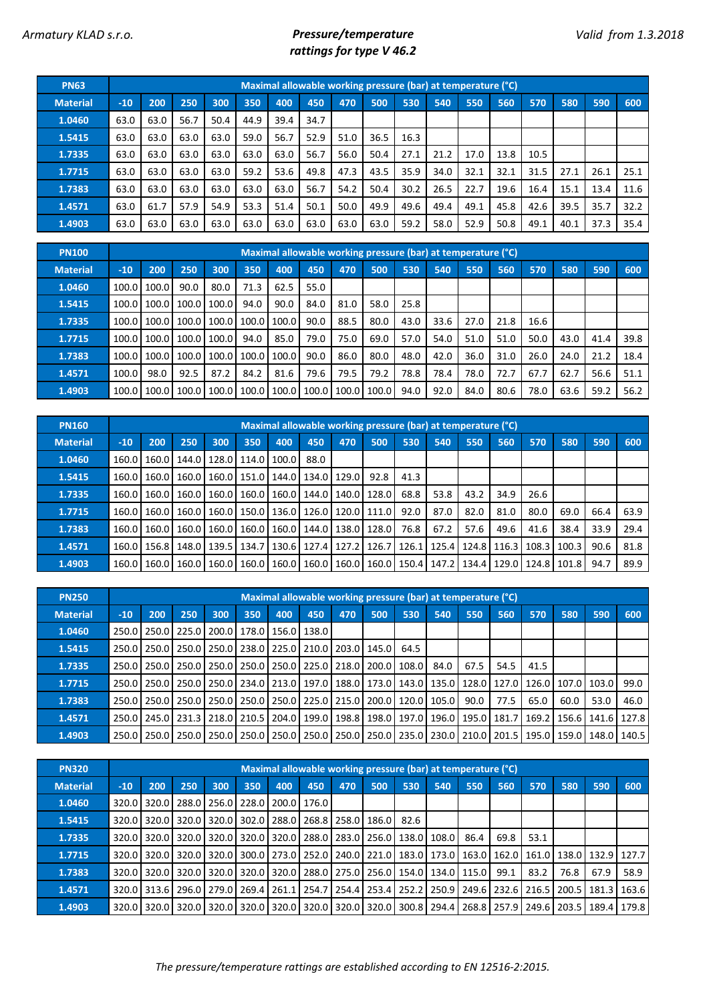## *Armatury KLAD s.r.o. Pressure/temperature rattings for type V 46.2*

| <b>PN63</b>     |       |      |      |      |      | Maximal allowable working pressure (bar) at temperature (°C) |      |      |      |      |      |      |      |      |      |      |      |
|-----------------|-------|------|------|------|------|--------------------------------------------------------------|------|------|------|------|------|------|------|------|------|------|------|
| <b>Material</b> | $-10$ | 200  | 250  | 300  | 350  | 400                                                          | 450  | 470  | 500  | 530  | 540  | 550  | 560  | 570  | 580  | 590  | 600  |
| 1.0460          | 63.0  | 63.0 | 56.7 | 50.4 | 44.9 | 39.4                                                         | 34.7 |      |      |      |      |      |      |      |      |      |      |
| 1.5415          | 63.0  | 63.0 | 63.0 | 63.0 | 59.0 | 56.7                                                         | 52.9 | 51.0 | 36.5 | 16.3 |      |      |      |      |      |      |      |
| 1.7335          | 63.0  | 63.0 | 63.0 | 63.0 | 63.0 | 63.0                                                         | 56.7 | 56.0 | 50.4 | 27.1 | 21.2 | 17.0 | 13.8 | 10.5 |      |      |      |
| 1.7715          | 63.0  | 63.0 | 63.0 | 63.0 | 59.2 | 53.6                                                         | 49.8 | 47.3 | 43.5 | 35.9 | 34.0 | 32.1 | 32.1 | 31.5 | 27.1 | 26.1 | 25.1 |
| 1.7383          | 63.0  | 63.0 | 63.0 | 63.0 | 63.0 | 63.0                                                         | 56.7 | 54.2 | 50.4 | 30.2 | 26.5 | 22.7 | 19.6 | 16.4 | 15.1 | 13.4 | 11.6 |
| 1.4571          | 63.0  | 61.7 | 57.9 | 54.9 | 53.3 | 51.4                                                         | 50.1 | 50.0 | 49.9 | 49.6 | 49.4 | 49.1 | 45.8 | 42.6 | 39.5 | 35.7 | 32.2 |
| 1.4903          | 63.0  | 63.0 | 63.0 | 63.0 | 63.0 | 63.0                                                         | 63.0 | 63.0 | 63.0 | 59.2 | 58.0 | 52.9 | 50.8 | 49.1 | 40.1 | 37.3 | 35.4 |

| <b>PN100</b>    |       |       |       |       |       |       |       |       | Maximal allowable working pressure (bar) at temperature (°C) |      |      |      |      |      |      |      |      |
|-----------------|-------|-------|-------|-------|-------|-------|-------|-------|--------------------------------------------------------------|------|------|------|------|------|------|------|------|
| <b>Material</b> | $-10$ | 200   | 250   | 300   | 350   | 400   | 450   | 470   | 500                                                          | 530  | 540  | 550  | 560  | 570  | 580  | 590  | 600  |
| 1.0460          | 100.0 | 100.0 | 90.0  | 80.0  | 71.3  | 62.5  | 55.0  |       |                                                              |      |      |      |      |      |      |      |      |
| 1.5415          | 100.0 | 100.0 | 100.0 | 100.0 | 94.0  | 90.0  | 84.0  | 81.0  | 58.0                                                         | 25.8 |      |      |      |      |      |      |      |
| 1.7335          | 100.0 | 100.0 | 100.0 | 100.0 | 100.0 | 100.0 | 90.0  | 88.5  | 80.0                                                         | 43.0 | 33.6 | 27.0 | 21.8 | 16.6 |      |      |      |
| 1.7715          | 100.0 | 100.0 | 100.0 | 100.0 | 94.0  | 85.0  | 79.0  | 75.0  | 69.0                                                         | 57.0 | 54.0 | 51.0 | 51.0 | 50.0 | 43.0 | 41.4 | 39.8 |
| 1.7383          | 100.0 | 100.0 | 100.0 | 100.0 | 100.0 | 100.0 | 90.0  | 86.0  | 80.0                                                         | 48.0 | 42.0 | 36.0 | 31.0 | 26.0 | 24.0 | 21.2 | 18.4 |
| 1.4571          | 100.0 | 98.0  | 92.5  | 87.2  | 84.2  | 81.6  | 79.6  | 79.5  | 79.2                                                         | 78.8 | 78.4 | 78.0 | 72.7 | 67.7 | 62.7 | 56.6 | 51.1 |
| 1.4903          | 100.0 | 100.0 | 100.0 | 100.0 | 100.0 | 100.0 | 100.0 | 100.0 | 100.0                                                        | 94.0 | 92.0 | 84.0 | 80.6 | 78.0 | 63.6 | 59.2 | 56.2 |

| <b>PN160</b>    |       |     |                               |     |               |       |             |                                       | Maximal allowable working pressure (bar) at temperature (°C)                          |       |      |                       |      |       |       |      |      |
|-----------------|-------|-----|-------------------------------|-----|---------------|-------|-------------|---------------------------------------|---------------------------------------------------------------------------------------|-------|------|-----------------------|------|-------|-------|------|------|
| <b>Material</b> | $-10$ | 200 | 250                           | 300 | 350           | 400   | 450         | 470                                   | 500                                                                                   | 530   | 540  | 550                   | 560  | 570   | 580   | 590  | 600  |
| 1.0460          | 160.0 |     | 160.0   144.0   128.0   114.0 |     |               | 100.0 | 88.0        |                                       |                                                                                       |       |      |                       |      |       |       |      |      |
| 1.5415          | 160.0 |     | 160.0 160.0                   |     | 160.0   151.0 |       | 144.0 134.0 | 129.0                                 | 92.8                                                                                  | 41.3  |      |                       |      |       |       |      |      |
| 1.7335          | 160.0 |     | 160.0 160.0                   |     |               |       |             | 160.0   160.0   160.0   144.0   140.0 | 128.0                                                                                 | 68.8  | 53.8 | 43.2                  | 34.9 | 26.6  |       |      |      |
| 1.7715          | 160.0 |     | 160.0 160.0                   |     |               |       |             |                                       | 160.0   150.0   136.0   126.0   120.0   111.0                                         | 92.0  | 87.0 | 82.0                  | 81.0 | 80.0  | 69.0  | 66.4 | 63.9 |
| 1.7383          | 160.0 |     | 160.0   160.0   160.0   160.0 |     |               |       |             |                                       | 160.0   144.0   138.0   128.0                                                         | 76.8  | 67.2 | 57.6                  | 49.6 | 41.6  | 38.4  | 33.9 | 29.4 |
| 1.4571          | 160.0 |     | 156.8   148.0   139.5         |     | 134.7         |       | 130.6 127.4 | 127.2                                 | 126.7                                                                                 | 126.1 |      | 125.4   124.8   116.3 |      | 108.3 | 100.3 | 90.6 | 81.8 |
| 1.4903          | 160.0 |     | 160.0 160.0                   |     |               |       |             |                                       | 160.0   160.0   160.0   160.0   160.0   160.0   150.4   147.2   134.4   129.0   124.8 |       |      |                       |      |       | 101.8 | 94.7 | 89.9 |

| <b>PN250</b>    |       |                   |     |                                                                                                                                       |     |     |                       | Maximal allowable working pressure (bar) at temperature (°C) |     |      |      |      |                                                                       |      |                               |      |      |
|-----------------|-------|-------------------|-----|---------------------------------------------------------------------------------------------------------------------------------------|-----|-----|-----------------------|--------------------------------------------------------------|-----|------|------|------|-----------------------------------------------------------------------|------|-------------------------------|------|------|
| <b>Material</b> | $-10$ | 200               | 250 | 300                                                                                                                                   | 350 | 400 | 450                   | 470                                                          | 500 | 530  | 540  | 550  | 560                                                                   | 570  | 580                           | 590  | 600  |
| 1.0460          |       | 250.0 250.0 225.0 |     | 200.0                                                                                                                                 |     |     | 178.0   156.0   138.0 |                                                              |     |      |      |      |                                                                       |      |                               |      |      |
| 1.5415          |       |                   |     | 250.0 250.0 250.0 250.0                                                                                                               |     |     |                       | 238.0   225.0   210.0   203.0   145.0                        |     | 64.5 |      |      |                                                                       |      |                               |      |      |
| 1.7335          |       |                   |     | 250.0 250.0 250.0 250.0 250.0 250.0 250.0 225.0 218.0 200.0 200.0 1                                                                   |     |     |                       |                                                              |     |      | 84.0 | 67.5 | 54.5                                                                  | 41.5 |                               |      |      |
| 1.7715          |       |                   |     | 250.0   250.0   250.0   250.0   250.0   234.0   213.0   197.0   188.0   173.0   143.0   135.0   128.0   127.0   126.0   107.0   103.0 |     |     |                       |                                                              |     |      |      |      |                                                                       |      |                               |      | 99.0 |
| 1.7383          |       |                   |     | 250.0   250.0   250.0   250.0                                                                                                         |     |     |                       | 250.0 250.0 225.0 215.0 200.0 120.0 105.0                    |     |      |      | 90.0 | 77.5                                                                  | 65.0 | 60.0                          | 53.0 | 46.0 |
| 1.4571          |       | 250.0 245.0 231.3 |     | 218.0                                                                                                                                 |     |     |                       |                                                              |     |      |      |      | 210.5   204.0   199.0   198.8   198.0   197.0   196.0   195.0   181.7 |      | 169.2   156.6   141.6   127.8 |      |      |
| 1.4903          |       |                   |     | 250.0 250.0 250.0 250.0 250.0 250.0 250.0 250.0 250.0 250.0 250.0 235.0 230.0 230.0 201.5 201.5 205.0 159.0 148.0 140.5               |     |     |                       |                                                              |     |      |      |      |                                                                       |      |                               |      |      |

| <b>PN320</b>    |       |                   |     |                                                                                       |       |     |     | Maximal allowable working pressure (bar) at temperature (°C) |     |     |     |      |      |      |      |      |                                                                                                       |
|-----------------|-------|-------------------|-----|---------------------------------------------------------------------------------------|-------|-----|-----|--------------------------------------------------------------|-----|-----|-----|------|------|------|------|------|-------------------------------------------------------------------------------------------------------|
| <b>Material</b> | $-10$ | 200               | 250 | 300                                                                                   | 350   | 400 | 450 | 470                                                          | 500 | 530 | 540 | 550  | 560  | 570  | 580  | 590  | 600                                                                                                   |
| 1.0460          |       |                   |     | 320.0 320.0 288.0 256.0 228.0 200.0 176.0 1                                           |       |     |     |                                                              |     |     |     |      |      |      |      |      |                                                                                                       |
| 1.5415          |       |                   |     | 320.0 320.0 320.0 320.0                                                               |       |     |     | 302.0   288.0   268.8   258.0   186.0   82.6                 |     |     |     |      |      |      |      |      |                                                                                                       |
| 1.7335          |       |                   |     | 320.0   320.0   320.0   320.0   320.0   320.0   288.0   283.0   256.0   138.0   108.0 |       |     |     |                                                              |     |     |     | 86.4 | 69.8 | 53.1 |      |      |                                                                                                       |
| 1.7715          |       | 320.0 320.0 320.0 |     | 320.0                                                                                 |       |     |     |                                                              |     |     |     |      |      |      |      |      | 300.0   273.0   252.0   240.0   221.0   183.0   173.0   163.0   162.0   161.0   138.0   132.9   127.7 |
| 1.7383          |       |                   |     | 320.0 320.0 320.0 320.0                                                               |       |     |     | 320.0 320.0 288.0 275.0 256.0 154.0 134.0 115.0 99.1         |     |     |     |      |      | 83.2 | 76.8 | 67.9 | 58.9                                                                                                  |
| 1.4571          |       |                   |     | 320.0 313.6 296.0 279.0                                                               | 269.4 |     |     |                                                              |     |     |     |      |      |      |      |      | 261.1 254.7 254.4 253.4 252.2 250.9 249.6 232.6 216.5 200.5 181.3 163.6                               |
| 1.4903          |       |                   |     | 320.0 320.0 320.0 320.0                                                               |       |     |     |                                                              |     |     |     |      |      |      |      |      | 320.0 320.0 320.0 320.0 320.0 320.0 300.8 294.4 268.8 257.9 249.6 203.5 189.4 179.8                   |